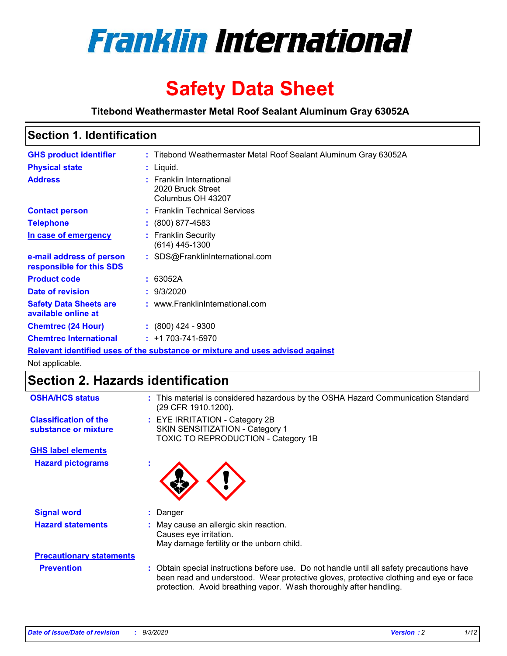

# **Safety Data Sheet**

**Titebond Weathermaster Metal Roof Sealant Aluminum Gray 63052A**

## **Section 1. Identification**

| <b>GHS product identifier</b>                        | : Titebond Weathermaster Metal Roof Sealant Aluminum Gray 63052A              |
|------------------------------------------------------|-------------------------------------------------------------------------------|
| <b>Physical state</b>                                | $:$ Liquid.                                                                   |
| <b>Address</b>                                       | : Franklin International<br>2020 Bruck Street<br>Columbus OH 43207            |
| <b>Contact person</b>                                | : Franklin Technical Services                                                 |
| <b>Telephone</b>                                     | $: (800) 877 - 4583$                                                          |
| In case of emergency                                 | : Franklin Security<br>(614) 445-1300                                         |
| e-mail address of person<br>responsible for this SDS | : SDS@FranklinInternational.com                                               |
| <b>Product code</b>                                  | : 63052A                                                                      |
| Date of revision                                     | : 9/3/2020                                                                    |
| <b>Safety Data Sheets are</b><br>available online at | : www.FranklinInternational.com                                               |
| <b>Chemtrec (24 Hour)</b>                            | $: (800)$ 424 - 9300                                                          |
| <b>Chemtrec International</b>                        | $: +1703 - 741 - 5970$                                                        |
|                                                      | Relevant identified uses of the substance or mixture and uses advised against |

Not applicable.

## **Section 2. Hazards identification**

| <b>OSHA/HCS status</b>                               | : This material is considered hazardous by the OSHA Hazard Communication Standard<br>(29 CFR 1910.1200).                                                                                                                                                 |
|------------------------------------------------------|----------------------------------------------------------------------------------------------------------------------------------------------------------------------------------------------------------------------------------------------------------|
| <b>Classification of the</b><br>substance or mixture | : EYE IRRITATION - Category 2B<br>SKIN SENSITIZATION - Category 1<br>TOXIC TO REPRODUCTION - Category 1B                                                                                                                                                 |
| <b>GHS label elements</b>                            |                                                                                                                                                                                                                                                          |
| <b>Hazard pictograms</b>                             |                                                                                                                                                                                                                                                          |
| <b>Signal word</b>                                   | : Danger                                                                                                                                                                                                                                                 |
| <b>Hazard statements</b>                             | : May cause an allergic skin reaction.<br>Causes eye irritation.<br>May damage fertility or the unborn child.                                                                                                                                            |
| <b>Precautionary statements</b>                      |                                                                                                                                                                                                                                                          |
| <b>Prevention</b>                                    | : Obtain special instructions before use. Do not handle until all safety precautions have<br>been read and understood. Wear protective gloves, protective clothing and eye or face<br>protection. Avoid breathing vapor. Wash thoroughly after handling. |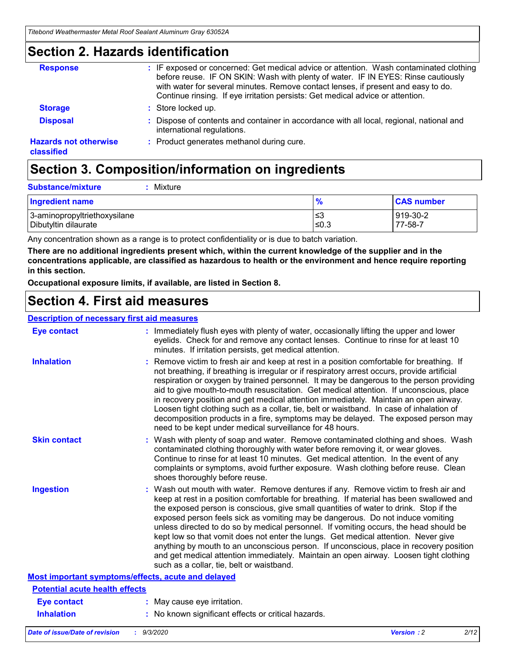### **Section 2. Hazards identification**

| <b>Response</b>                            | : IF exposed or concerned: Get medical advice or attention. Wash contaminated clothing<br>before reuse. IF ON SKIN: Wash with plenty of water. IF IN EYES: Rinse cautiously<br>with water for several minutes. Remove contact lenses, if present and easy to do.<br>Continue rinsing. If eye irritation persists: Get medical advice or attention. |
|--------------------------------------------|----------------------------------------------------------------------------------------------------------------------------------------------------------------------------------------------------------------------------------------------------------------------------------------------------------------------------------------------------|
| <b>Storage</b>                             | : Store locked up.                                                                                                                                                                                                                                                                                                                                 |
| <b>Disposal</b>                            | : Dispose of contents and container in accordance with all local, regional, national and<br>international regulations.                                                                                                                                                                                                                             |
| <b>Hazards not otherwise</b><br>classified | : Product generates methanol during cure.                                                                                                                                                                                                                                                                                                          |

## **Section 3. Composition/information on ingredients**

| <b>Substance/mixture</b> | : Mixture |
|--------------------------|-----------|
|                          |           |

| Ingredient name              | $\mathbf{0}$<br>70 | <b>CAS number</b> |
|------------------------------|--------------------|-------------------|
| 3-aminopropyltriethoxysilane | צ≥                 | 919-30-2          |
| Dibutyltin dilaurate         | ≤0.3               | 77-58-7           |

Any concentration shown as a range is to protect confidentiality or is due to batch variation.

**There are no additional ingredients present which, within the current knowledge of the supplier and in the concentrations applicable, are classified as hazardous to health or the environment and hence require reporting in this section.**

**Occupational exposure limits, if available, are listed in Section 8.**

### **Section 4. First aid measures**

| <b>Description of necessary first aid measures</b> |                                                                                                                                                                                                                                                                                                                                                                                                                                                                                                                                                                                                                                                                                                                                                                           |
|----------------------------------------------------|---------------------------------------------------------------------------------------------------------------------------------------------------------------------------------------------------------------------------------------------------------------------------------------------------------------------------------------------------------------------------------------------------------------------------------------------------------------------------------------------------------------------------------------------------------------------------------------------------------------------------------------------------------------------------------------------------------------------------------------------------------------------------|
| <b>Eye contact</b>                                 | : Immediately flush eyes with plenty of water, occasionally lifting the upper and lower<br>eyelids. Check for and remove any contact lenses. Continue to rinse for at least 10<br>minutes. If irritation persists, get medical attention.                                                                                                                                                                                                                                                                                                                                                                                                                                                                                                                                 |
| <b>Inhalation</b>                                  | : Remove victim to fresh air and keep at rest in a position comfortable for breathing. If<br>not breathing, if breathing is irregular or if respiratory arrest occurs, provide artificial<br>respiration or oxygen by trained personnel. It may be dangerous to the person providing<br>aid to give mouth-to-mouth resuscitation. Get medical attention. If unconscious, place<br>in recovery position and get medical attention immediately. Maintain an open airway.<br>Loosen tight clothing such as a collar, tie, belt or waistband. In case of inhalation of<br>decomposition products in a fire, symptoms may be delayed. The exposed person may<br>need to be kept under medical surveillance for 48 hours.                                                       |
| <b>Skin contact</b>                                | : Wash with plenty of soap and water. Remove contaminated clothing and shoes. Wash<br>contaminated clothing thoroughly with water before removing it, or wear gloves.<br>Continue to rinse for at least 10 minutes. Get medical attention. In the event of any<br>complaints or symptoms, avoid further exposure. Wash clothing before reuse. Clean<br>shoes thoroughly before reuse.                                                                                                                                                                                                                                                                                                                                                                                     |
| <b>Ingestion</b>                                   | : Wash out mouth with water. Remove dentures if any. Remove victim to fresh air and<br>keep at rest in a position comfortable for breathing. If material has been swallowed and<br>the exposed person is conscious, give small quantities of water to drink. Stop if the<br>exposed person feels sick as vomiting may be dangerous. Do not induce vomiting<br>unless directed to do so by medical personnel. If vomiting occurs, the head should be<br>kept low so that vomit does not enter the lungs. Get medical attention. Never give<br>anything by mouth to an unconscious person. If unconscious, place in recovery position<br>and get medical attention immediately. Maintain an open airway. Loosen tight clothing<br>such as a collar, tie, belt or waistband. |
| Most important symptoms/effects, acute and delayed |                                                                                                                                                                                                                                                                                                                                                                                                                                                                                                                                                                                                                                                                                                                                                                           |
| <b>Potential acute health effects</b>              |                                                                                                                                                                                                                                                                                                                                                                                                                                                                                                                                                                                                                                                                                                                                                                           |
| <b>Eye contact</b>                                 | : May cause eye irritation.                                                                                                                                                                                                                                                                                                                                                                                                                                                                                                                                                                                                                                                                                                                                               |
| <b>Inhalation</b>                                  | : No known significant effects or critical hazards.                                                                                                                                                                                                                                                                                                                                                                                                                                                                                                                                                                                                                                                                                                                       |
|                                                    |                                                                                                                                                                                                                                                                                                                                                                                                                                                                                                                                                                                                                                                                                                                                                                           |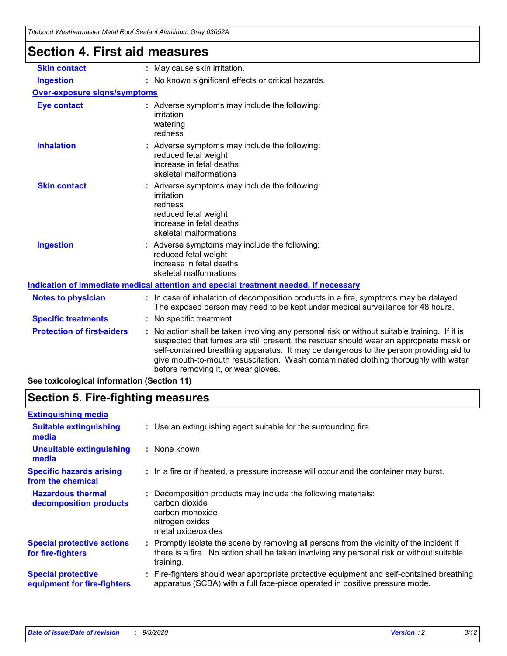## **Section 4. First aid measures**

| <b>Skin contact</b>                 | : May cause skin irritation.                                                                                                                                                                                                                                                                                                                                                                                  |  |  |  |
|-------------------------------------|---------------------------------------------------------------------------------------------------------------------------------------------------------------------------------------------------------------------------------------------------------------------------------------------------------------------------------------------------------------------------------------------------------------|--|--|--|
| <b>Ingestion</b>                    | : No known significant effects or critical hazards.                                                                                                                                                                                                                                                                                                                                                           |  |  |  |
| <b>Over-exposure signs/symptoms</b> |                                                                                                                                                                                                                                                                                                                                                                                                               |  |  |  |
| Eye contact                         | : Adverse symptoms may include the following:<br>irritation<br>watering<br>redness                                                                                                                                                                                                                                                                                                                            |  |  |  |
| <b>Inhalation</b>                   | : Adverse symptoms may include the following:<br>reduced fetal weight<br>increase in fetal deaths<br>skeletal malformations                                                                                                                                                                                                                                                                                   |  |  |  |
| <b>Skin contact</b>                 | : Adverse symptoms may include the following:<br>irritation<br>redness<br>reduced fetal weight<br>increase in fetal deaths<br>skeletal malformations                                                                                                                                                                                                                                                          |  |  |  |
| <b>Ingestion</b>                    | : Adverse symptoms may include the following:<br>reduced fetal weight<br>increase in fetal deaths<br>skeletal malformations                                                                                                                                                                                                                                                                                   |  |  |  |
|                                     | Indication of immediate medical attention and special treatment needed, if necessary                                                                                                                                                                                                                                                                                                                          |  |  |  |
| <b>Notes to physician</b>           | : In case of inhalation of decomposition products in a fire, symptoms may be delayed.<br>The exposed person may need to be kept under medical surveillance for 48 hours.                                                                                                                                                                                                                                      |  |  |  |
| <b>Specific treatments</b>          | : No specific treatment.                                                                                                                                                                                                                                                                                                                                                                                      |  |  |  |
| <b>Protection of first-aiders</b>   | No action shall be taken involving any personal risk or without suitable training. If it is<br>suspected that fumes are still present, the rescuer should wear an appropriate mask or<br>self-contained breathing apparatus. It may be dangerous to the person providing aid to<br>give mouth-to-mouth resuscitation. Wash contaminated clothing thoroughly with water<br>before removing it, or wear gloves. |  |  |  |
|                                     |                                                                                                                                                                                                                                                                                                                                                                                                               |  |  |  |

**See toxicological information (Section 11)**

## **Section 5. Fire-fighting measures**

| <b>Extinguishing media</b>                               |                                                                                                                                                                                                     |
|----------------------------------------------------------|-----------------------------------------------------------------------------------------------------------------------------------------------------------------------------------------------------|
| <b>Suitable extinguishing</b><br>media                   | : Use an extinguishing agent suitable for the surrounding fire.                                                                                                                                     |
| <b>Unsuitable extinguishing</b><br>media                 | : None known.                                                                                                                                                                                       |
| <b>Specific hazards arising</b><br>from the chemical     | : In a fire or if heated, a pressure increase will occur and the container may burst.                                                                                                               |
| <b>Hazardous thermal</b><br>decomposition products       | Decomposition products may include the following materials:<br>carbon dioxide<br>carbon monoxide<br>nitrogen oxides<br>metal oxide/oxides                                                           |
| <b>Special protective actions</b><br>for fire-fighters   | : Promptly isolate the scene by removing all persons from the vicinity of the incident if<br>there is a fire. No action shall be taken involving any personal risk or without suitable<br>training. |
| <b>Special protective</b><br>equipment for fire-fighters | : Fire-fighters should wear appropriate protective equipment and self-contained breathing<br>apparatus (SCBA) with a full face-piece operated in positive pressure mode.                            |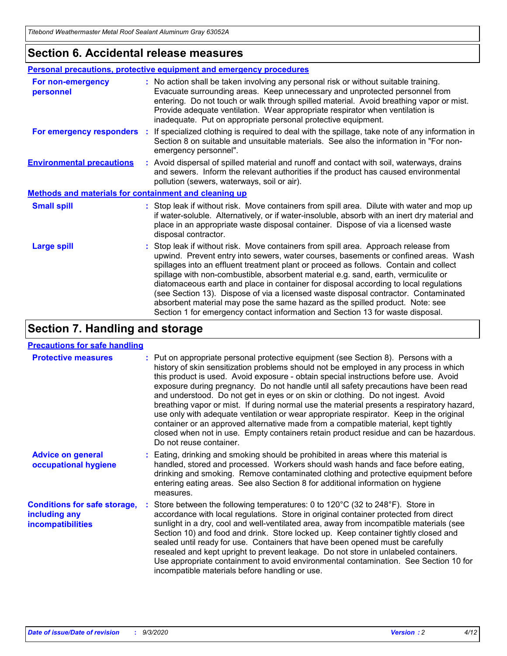### **Section 6. Accidental release measures**

|                                                       | Personal precautions, protective equipment and emergency procedures                                                                                                                                                                                                                                                                                                                                                                                                                                                                                                                                                                                                                                          |  |
|-------------------------------------------------------|--------------------------------------------------------------------------------------------------------------------------------------------------------------------------------------------------------------------------------------------------------------------------------------------------------------------------------------------------------------------------------------------------------------------------------------------------------------------------------------------------------------------------------------------------------------------------------------------------------------------------------------------------------------------------------------------------------------|--|
| For non-emergency<br>personnel                        | : No action shall be taken involving any personal risk or without suitable training.<br>Evacuate surrounding areas. Keep unnecessary and unprotected personnel from<br>entering. Do not touch or walk through spilled material. Avoid breathing vapor or mist.<br>Provide adequate ventilation. Wear appropriate respirator when ventilation is<br>inadequate. Put on appropriate personal protective equipment.                                                                                                                                                                                                                                                                                             |  |
| For emergency responders                              | If specialized clothing is required to deal with the spillage, take note of any information in<br>÷.<br>Section 8 on suitable and unsuitable materials. See also the information in "For non-<br>emergency personnel".                                                                                                                                                                                                                                                                                                                                                                                                                                                                                       |  |
| <b>Environmental precautions</b>                      | : Avoid dispersal of spilled material and runoff and contact with soil, waterways, drains<br>and sewers. Inform the relevant authorities if the product has caused environmental<br>pollution (sewers, waterways, soil or air).                                                                                                                                                                                                                                                                                                                                                                                                                                                                              |  |
| Methods and materials for containment and cleaning up |                                                                                                                                                                                                                                                                                                                                                                                                                                                                                                                                                                                                                                                                                                              |  |
| <b>Small spill</b>                                    | : Stop leak if without risk. Move containers from spill area. Dilute with water and mop up<br>if water-soluble. Alternatively, or if water-insoluble, absorb with an inert dry material and<br>place in an appropriate waste disposal container. Dispose of via a licensed waste<br>disposal contractor.                                                                                                                                                                                                                                                                                                                                                                                                     |  |
| <b>Large spill</b>                                    | : Stop leak if without risk. Move containers from spill area. Approach release from<br>upwind. Prevent entry into sewers, water courses, basements or confined areas. Wash<br>spillages into an effluent treatment plant or proceed as follows. Contain and collect<br>spillage with non-combustible, absorbent material e.g. sand, earth, vermiculite or<br>diatomaceous earth and place in container for disposal according to local regulations<br>(see Section 13). Dispose of via a licensed waste disposal contractor. Contaminated<br>absorbent material may pose the same hazard as the spilled product. Note: see<br>Section 1 for emergency contact information and Section 13 for waste disposal. |  |

## **Section 7. Handling and storage**

### **Precautions for safe handling**

| <b>Protective measures</b>                                                       | : Put on appropriate personal protective equipment (see Section 8). Persons with a<br>history of skin sensitization problems should not be employed in any process in which<br>this product is used. Avoid exposure - obtain special instructions before use. Avoid<br>exposure during pregnancy. Do not handle until all safety precautions have been read<br>and understood. Do not get in eyes or on skin or clothing. Do not ingest. Avoid<br>breathing vapor or mist. If during normal use the material presents a respiratory hazard,<br>use only with adequate ventilation or wear appropriate respirator. Keep in the original<br>container or an approved alternative made from a compatible material, kept tightly<br>closed when not in use. Empty containers retain product residue and can be hazardous.<br>Do not reuse container. |
|----------------------------------------------------------------------------------|--------------------------------------------------------------------------------------------------------------------------------------------------------------------------------------------------------------------------------------------------------------------------------------------------------------------------------------------------------------------------------------------------------------------------------------------------------------------------------------------------------------------------------------------------------------------------------------------------------------------------------------------------------------------------------------------------------------------------------------------------------------------------------------------------------------------------------------------------|
| <b>Advice on general</b><br>occupational hygiene                                 | : Eating, drinking and smoking should be prohibited in areas where this material is<br>handled, stored and processed. Workers should wash hands and face before eating,<br>drinking and smoking. Remove contaminated clothing and protective equipment before<br>entering eating areas. See also Section 8 for additional information on hygiene<br>measures.                                                                                                                                                                                                                                                                                                                                                                                                                                                                                    |
| <b>Conditions for safe storage,</b><br>including any<br><i>incompatibilities</i> | Store between the following temperatures: 0 to 120°C (32 to 248°F). Store in<br>accordance with local regulations. Store in original container protected from direct<br>sunlight in a dry, cool and well-ventilated area, away from incompatible materials (see<br>Section 10) and food and drink. Store locked up. Keep container tightly closed and<br>sealed until ready for use. Containers that have been opened must be carefully<br>resealed and kept upright to prevent leakage. Do not store in unlabeled containers.<br>Use appropriate containment to avoid environmental contamination. See Section 10 for<br>incompatible materials before handling or use.                                                                                                                                                                         |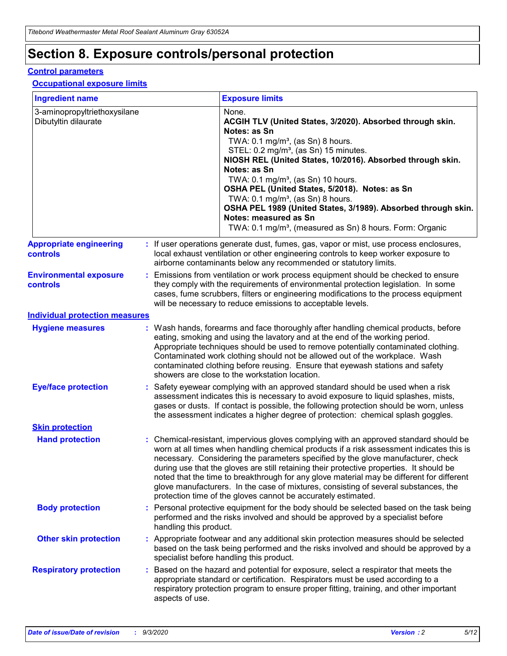## **Section 8. Exposure controls/personal protection**

### **Control parameters**

#### **Occupational exposure limits**

| <b>Ingredient name</b>                               |    |                        | <b>Exposure limits</b>                                                                                                                                                                                                                                                                                                                                                                                                                                                                                                                                                                                                 |
|------------------------------------------------------|----|------------------------|------------------------------------------------------------------------------------------------------------------------------------------------------------------------------------------------------------------------------------------------------------------------------------------------------------------------------------------------------------------------------------------------------------------------------------------------------------------------------------------------------------------------------------------------------------------------------------------------------------------------|
| 3-aminopropyltriethoxysilane<br>Dibutyltin dilaurate |    |                        | None.<br>ACGIH TLV (United States, 3/2020). Absorbed through skin.<br>Notes: as Sn<br>TWA: 0.1 mg/m <sup>3</sup> , (as Sn) 8 hours.<br>STEL: 0.2 mg/m <sup>3</sup> , (as Sn) 15 minutes.<br>NIOSH REL (United States, 10/2016). Absorbed through skin.<br>Notes: as Sn<br>TWA: 0.1 mg/m <sup>3</sup> , (as Sn) 10 hours.<br>OSHA PEL (United States, 5/2018). Notes: as Sn<br>TWA: $0.1 \text{ mg/m}^3$ , (as Sn) 8 hours.<br>OSHA PEL 1989 (United States, 3/1989). Absorbed through skin.<br>Notes: measured as Sn<br>TWA: 0.1 mg/m <sup>3</sup> , (measured as Sn) 8 hours. Form: Organic                           |
| <b>Appropriate engineering</b><br>controls           |    |                        | : If user operations generate dust, fumes, gas, vapor or mist, use process enclosures,<br>local exhaust ventilation or other engineering controls to keep worker exposure to<br>airborne contaminants below any recommended or statutory limits.                                                                                                                                                                                                                                                                                                                                                                       |
| <b>Environmental exposure</b><br><b>controls</b>     |    |                        | Emissions from ventilation or work process equipment should be checked to ensure<br>they comply with the requirements of environmental protection legislation. In some<br>cases, fume scrubbers, filters or engineering modifications to the process equipment<br>will be necessary to reduce emissions to acceptable levels.                                                                                                                                                                                                                                                                                          |
| <b>Individual protection measures</b>                |    |                        |                                                                                                                                                                                                                                                                                                                                                                                                                                                                                                                                                                                                                        |
| <b>Hygiene measures</b>                              |    |                        | : Wash hands, forearms and face thoroughly after handling chemical products, before<br>eating, smoking and using the lavatory and at the end of the working period.<br>Appropriate techniques should be used to remove potentially contaminated clothing.<br>Contaminated work clothing should not be allowed out of the workplace. Wash<br>contaminated clothing before reusing. Ensure that eyewash stations and safety<br>showers are close to the workstation location.                                                                                                                                            |
| <b>Eye/face protection</b>                           |    |                        | : Safety eyewear complying with an approved standard should be used when a risk<br>assessment indicates this is necessary to avoid exposure to liquid splashes, mists,<br>gases or dusts. If contact is possible, the following protection should be worn, unless<br>the assessment indicates a higher degree of protection: chemical splash goggles.                                                                                                                                                                                                                                                                  |
| <b>Skin protection</b>                               |    |                        |                                                                                                                                                                                                                                                                                                                                                                                                                                                                                                                                                                                                                        |
| <b>Hand protection</b>                               |    |                        | : Chemical-resistant, impervious gloves complying with an approved standard should be<br>worn at all times when handling chemical products if a risk assessment indicates this is<br>necessary. Considering the parameters specified by the glove manufacturer, check<br>during use that the gloves are still retaining their protective properties. It should be<br>noted that the time to breakthrough for any glove material may be different for different<br>glove manufacturers. In the case of mixtures, consisting of several substances, the<br>protection time of the gloves cannot be accurately estimated. |
| <b>Body protection</b>                               |    | handling this product. | Personal protective equipment for the body should be selected based on the task being<br>performed and the risks involved and should be approved by a specialist before                                                                                                                                                                                                                                                                                                                                                                                                                                                |
| <b>Other skin protection</b>                         |    |                        | : Appropriate footwear and any additional skin protection measures should be selected<br>based on the task being performed and the risks involved and should be approved by a<br>specialist before handling this product.                                                                                                                                                                                                                                                                                                                                                                                              |
| <b>Respiratory protection</b>                        | ÷. | aspects of use.        | Based on the hazard and potential for exposure, select a respirator that meets the<br>appropriate standard or certification. Respirators must be used according to a<br>respiratory protection program to ensure proper fitting, training, and other important                                                                                                                                                                                                                                                                                                                                                         |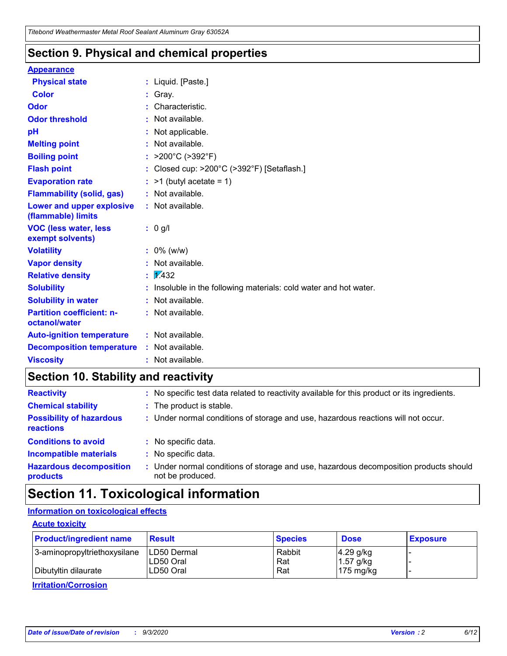### **Section 9. Physical and chemical properties**

#### **Appearance**

| <b>Physical state</b>                             |    | : Liquid. [Paste.]                                              |
|---------------------------------------------------|----|-----------------------------------------------------------------|
| <b>Color</b>                                      |    | Gray.                                                           |
| Odor                                              |    | Characteristic.                                                 |
| <b>Odor threshold</b>                             | ÷. | Not available.                                                  |
| pH                                                |    | Not applicable.                                                 |
| <b>Melting point</b>                              |    | : Not available.                                                |
| <b>Boiling point</b>                              |    | : $>200^{\circ}$ C ( $>392^{\circ}$ F)                          |
| <b>Flash point</b>                                |    | : Closed cup: >200°C (>392°F) [Setaflash.]                      |
| <b>Evaporation rate</b>                           |    | $:$ >1 (butyl acetate = 1)                                      |
| <b>Flammability (solid, gas)</b>                  |    | : Not available.                                                |
| Lower and upper explosive<br>(flammable) limits   |    | : Not available.                                                |
| <b>VOC (less water, less)</b><br>exempt solvents) |    | : 0 g/l                                                         |
| <b>Volatility</b>                                 |    | $: 0\%$ (w/w)                                                   |
| <b>Vapor density</b>                              |    | Not available.                                                  |
| <b>Relative density</b>                           |    | $\frac{1}{2}$ 2.432                                             |
| <b>Solubility</b>                                 |    | Insoluble in the following materials: cold water and hot water. |
| <b>Solubility in water</b>                        |    | Not available.                                                  |
| <b>Partition coefficient: n-</b><br>octanol/water |    | $:$ Not available.                                              |
| <b>Auto-ignition temperature</b>                  |    | : Not available.                                                |
| <b>Decomposition temperature</b>                  |    | : Not available.                                                |
| <b>Viscosity</b>                                  |    | : Not available.                                                |

## **Section 10. Stability and reactivity**

| <b>Reactivity</b>                            |    | : No specific test data related to reactivity available for this product or its ingredients.            |
|----------------------------------------------|----|---------------------------------------------------------------------------------------------------------|
| <b>Chemical stability</b>                    |    | : The product is stable.                                                                                |
| <b>Possibility of hazardous</b><br>reactions |    | : Under normal conditions of storage and use, hazardous reactions will not occur.                       |
| <b>Conditions to avoid</b>                   |    | : No specific data.                                                                                     |
| <b>Incompatible materials</b>                | ٠. | No specific data.                                                                                       |
| <b>Hazardous decomposition</b><br>products   | ÷. | Under normal conditions of storage and use, hazardous decomposition products should<br>not be produced. |

## **Section 11. Toxicological information**

### **Information on toxicological effects**

### **Acute toxicity**

| <b>Product/ingredient name</b> | <b>Result</b>           | <b>Species</b> | <b>Dose</b>                | <b>Exposure</b> |
|--------------------------------|-------------------------|----------------|----------------------------|-----------------|
| 3-aminopropyltriethoxysilane   | <b>ILD50 Dermal</b>     | Rabbit         | 4.29 g/kg                  |                 |
| Dibutyltin dilaurate           | ILD50 Oral<br>LD50 Oral | Rat<br>Rat     | $1.57$ g/kg<br>175 $mg/kg$ |                 |
|                                |                         |                |                            |                 |

**Irritation/Corrosion**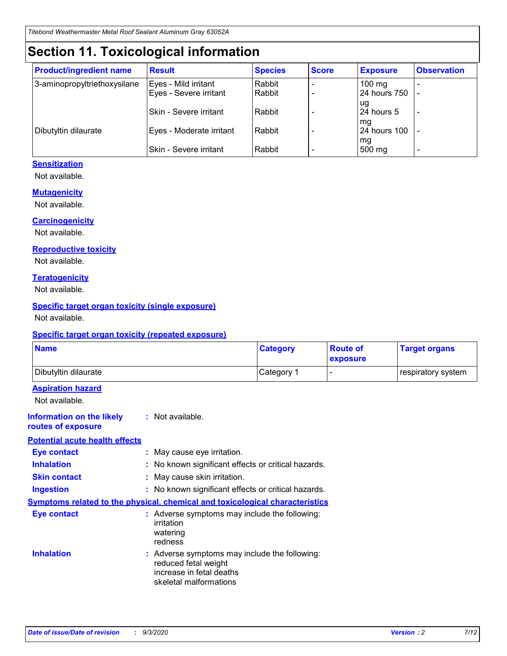## **Section 11. Toxicological information**

| <b>Product/ingredient name</b> | <b>Result</b>            | <b>Species</b> | <b>Score</b> | <b>Exposure</b>    | <b>Observation</b> |
|--------------------------------|--------------------------|----------------|--------------|--------------------|--------------------|
| 3-aminopropyltriethoxysilane   | Eyes - Mild irritant     | Rabbit         |              | $100$ mg           |                    |
|                                | Eyes - Severe irritant   | Rabbit         |              | 24 hours 750       |                    |
|                                |                          |                |              | ug                 |                    |
|                                | Skin - Severe irritant   | Rabbit         |              | 24 hours 5         | -                  |
| Dibutyltin dilaurate           | Eyes - Moderate irritant | Rabbit         |              | mg<br>24 hours 100 |                    |
|                                |                          |                |              | mg                 |                    |
|                                | Skin - Severe irritant   | Rabbit         |              | 500 mg             | -                  |

### **Sensitization**

Not available.

### **Mutagenicity**

Not available.

### **Carcinogenicity**

Not available.

#### **Reproductive toxicity**

Not available.

### **Teratogenicity**

Not available.

### **Specific target organ toxicity (single exposure)**

Not available.

### **Specific target organ toxicity (repeated exposure)**

| <b>Name</b>                                                                         |                                                                            | <b>Category</b>                                     | <b>Route of</b><br>exposure | <b>Target organs</b> |  |  |
|-------------------------------------------------------------------------------------|----------------------------------------------------------------------------|-----------------------------------------------------|-----------------------------|----------------------|--|--|
| Dibutyltin dilaurate                                                                |                                                                            | Category 1                                          | -                           | respiratory system   |  |  |
| <b>Aspiration hazard</b><br>Not available.                                          |                                                                            |                                                     |                             |                      |  |  |
| <b>Information on the likely</b><br>routes of exposure                              | : Not available.                                                           |                                                     |                             |                      |  |  |
| <b>Potential acute health effects</b>                                               |                                                                            |                                                     |                             |                      |  |  |
| <b>Eye contact</b>                                                                  | : May cause eye irritation.                                                |                                                     |                             |                      |  |  |
| <b>Inhalation</b>                                                                   |                                                                            | : No known significant effects or critical hazards. |                             |                      |  |  |
| <b>Skin contact</b>                                                                 |                                                                            | : May cause skin irritation.                        |                             |                      |  |  |
| <b>Ingestion</b>                                                                    |                                                                            | : No known significant effects or critical hazards. |                             |                      |  |  |
| <b>Symptoms related to the physical, chemical and toxicological characteristics</b> |                                                                            |                                                     |                             |                      |  |  |
| <b>Eye contact</b>                                                                  | irritation<br>watering<br>redness                                          | : Adverse symptoms may include the following:       |                             |                      |  |  |
| <b>Inhalation</b>                                                                   | reduced fetal weight<br>increase in fetal deaths<br>skeletal malformations | : Adverse symptoms may include the following:       |                             |                      |  |  |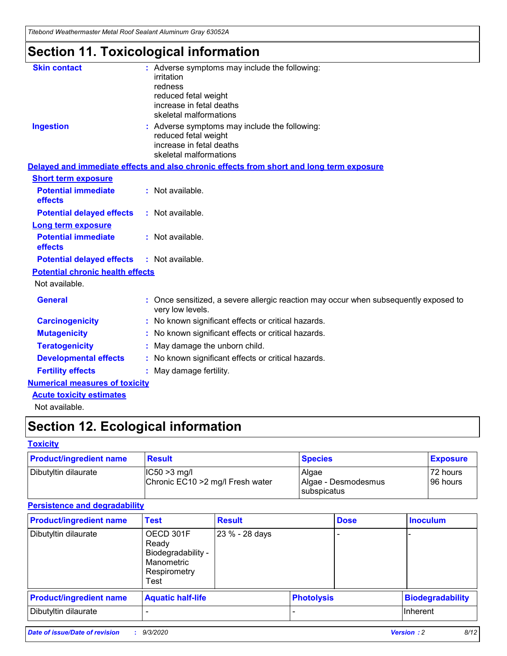*Titebond Weathermaster Metal Roof Sealant Aluminum Gray 63052A*

## **Section 11. Toxicological information**

| <b>Skin contact</b>                     | : Adverse symptoms may include the following:<br>irritation<br>redness<br>reduced fetal weight<br>increase in fetal deaths<br>skeletal malformations |  |
|-----------------------------------------|------------------------------------------------------------------------------------------------------------------------------------------------------|--|
| <b>Ingestion</b>                        | : Adverse symptoms may include the following:<br>reduced fetal weight<br>increase in fetal deaths<br>skeletal malformations                          |  |
|                                         | Delayed and immediate effects and also chronic effects from short and long term exposure                                                             |  |
| <b>Short term exposure</b>              |                                                                                                                                                      |  |
| <b>Potential immediate</b><br>effects   | : Not available.                                                                                                                                     |  |
| <b>Potential delayed effects</b>        | : Not available.                                                                                                                                     |  |
| Long term exposure                      |                                                                                                                                                      |  |
| <b>Potential immediate</b><br>effects   | : Not available.                                                                                                                                     |  |
| <b>Potential delayed effects</b>        | : Not available.                                                                                                                                     |  |
| <b>Potential chronic health effects</b> |                                                                                                                                                      |  |
| Not available.                          |                                                                                                                                                      |  |
| <b>General</b>                          | Once sensitized, a severe allergic reaction may occur when subsequently exposed to<br>very low levels.                                               |  |
| <b>Carcinogenicity</b>                  | No known significant effects or critical hazards.                                                                                                    |  |
| <b>Mutagenicity</b>                     | : No known significant effects or critical hazards.                                                                                                  |  |
| <b>Teratogenicity</b>                   | May damage the unborn child.                                                                                                                         |  |
| <b>Developmental effects</b>            | : No known significant effects or critical hazards.                                                                                                  |  |
| <b>Fertility effects</b>                | : May damage fertility.                                                                                                                              |  |
| <b>Numerical measures of toxicity</b>   |                                                                                                                                                      |  |
| <b>Acute toxicity estimates</b>         |                                                                                                                                                      |  |
| Not ovoilable                           |                                                                                                                                                      |  |

Not available.

## **Section 12. Ecological information**

### **Toxicity**

| <b>Product/ingredient name</b> | <b>Result</b>                                       | <b>Species</b>               | <b>Exposure</b>       |
|--------------------------------|-----------------------------------------------------|------------------------------|-----------------------|
| Dibutyltin dilaurate           | $ CC50>3$ mg/l<br>Chronic EC10 > 2 mg/l Fresh water | Algae<br>Algae - Desmodesmus | 72 hours<br>196 hours |
|                                |                                                     | <b>I</b> subspicatus         |                       |

### **Persistence and degradability**

| <b>Product/ingredient name</b> | <b>Test</b>                                                                    | <b>Result</b>  |                   | <b>Dose</b> | <b>Inoculum</b>         |
|--------------------------------|--------------------------------------------------------------------------------|----------------|-------------------|-------------|-------------------------|
| Dibutyltin dilaurate           | OECD 301F<br>Ready<br>Biodegradability -<br>Manometric<br>Respirometry<br>Test | 23 % - 28 days |                   |             |                         |
| <b>Product/ingredient name</b> | <b>Aquatic half-life</b>                                                       |                | <b>Photolysis</b> |             | <b>Biodegradability</b> |
| Dibutyltin dilaurate           |                                                                                |                |                   |             | <b>Inherent</b>         |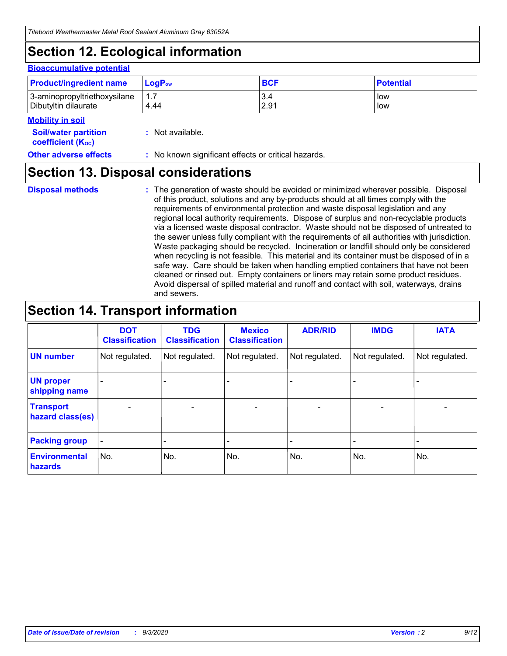## **Section 12. Ecological information**

#### **Bioaccumulative potential**

| <b>Product/ingredient name</b> | $LoaPow$ | <b>BCF</b> | <b>Potential</b> |
|--------------------------------|----------|------------|------------------|
| 3-aminopropyltriethoxysilane   | 1.7      | 3.4        | low              |
| Dibutyltin dilaurate           | 4.44     | 2.91       | low              |

### **Mobility in soil**

| <b>INIUDIIILY III SUIL</b>                              |                                                     |
|---------------------------------------------------------|-----------------------------------------------------|
| <b>Soil/water partition</b><br><b>coefficient (Koc)</b> | : Not available.                                    |
| <b>Other adverse effects</b>                            | : No known significant effects or critical hazards. |

### **Section 13. Disposal considerations**

**Disposal methods :**

The generation of waste should be avoided or minimized wherever possible. Disposal of this product, solutions and any by-products should at all times comply with the requirements of environmental protection and waste disposal legislation and any regional local authority requirements. Dispose of surplus and non-recyclable products via a licensed waste disposal contractor. Waste should not be disposed of untreated to the sewer unless fully compliant with the requirements of all authorities with jurisdiction. Waste packaging should be recycled. Incineration or landfill should only be considered when recycling is not feasible. This material and its container must be disposed of in a safe way. Care should be taken when handling emptied containers that have not been cleaned or rinsed out. Empty containers or liners may retain some product residues. Avoid dispersal of spilled material and runoff and contact with soil, waterways, drains and sewers.

### **Section 14. Transport information**

|                                      | <b>DOT</b><br><b>Classification</b> | <b>TDG</b><br><b>Classification</b> | <b>Mexico</b><br><b>Classification</b> | <b>ADR/RID</b>           | <b>IMDG</b>              | <b>IATA</b>    |
|--------------------------------------|-------------------------------------|-------------------------------------|----------------------------------------|--------------------------|--------------------------|----------------|
| <b>UN number</b>                     | Not regulated.                      | Not regulated.                      | Not regulated.                         | Not regulated.           | Not regulated.           | Not regulated. |
| <b>UN proper</b><br>shipping name    |                                     |                                     |                                        |                          |                          |                |
| <b>Transport</b><br>hazard class(es) |                                     | $\overline{\phantom{0}}$            | $\qquad \qquad \blacksquare$           | $\overline{\phantom{0}}$ | $\overline{\phantom{0}}$ |                |
| <b>Packing group</b>                 |                                     |                                     |                                        |                          |                          |                |
| <b>Environmental</b><br>hazards      | No.                                 | No.                                 | No.                                    | No.                      | No.                      | No.            |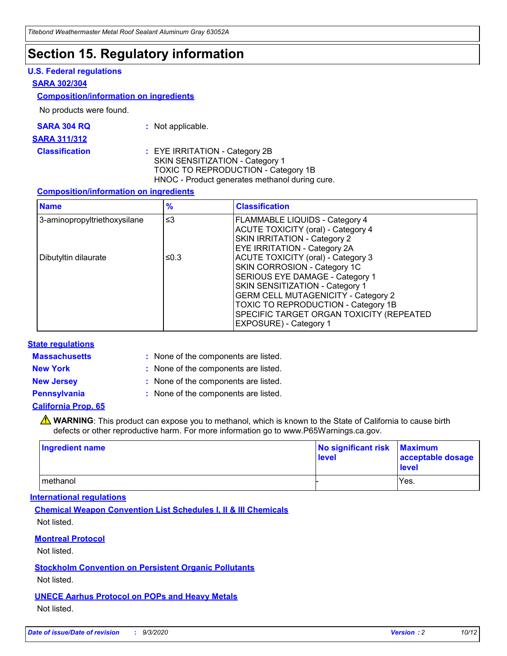## **Section 15. Regulatory information**

### **U.S. Federal regulations**

#### **SARA 302/304**

#### **Composition/information on ingredients**

No products were found.

| SARA 304 RQ | Not applicable. |
|-------------|-----------------|
|-------------|-----------------|

#### **SARA 311/312**

**Classification :** EYE IRRITATION - Category 2B SKIN SENSITIZATION - Category 1 TOXIC TO REPRODUCTION - Category 1B HNOC - Product generates methanol during cure.

### **Composition/information on ingredients**

| <b>Name</b>                  | $\frac{9}{6}$ | <b>Classification</b>                                                                                                                                                                                                                                                                                      |
|------------------------------|---------------|------------------------------------------------------------------------------------------------------------------------------------------------------------------------------------------------------------------------------------------------------------------------------------------------------------|
| 3-aminopropyltriethoxysilane | $\leq$ 3      | <b>FLAMMABLE LIQUIDS - Category 4</b><br><b>ACUTE TOXICITY (oral) - Category 4</b><br><b>SKIN IRRITATION - Category 2</b><br>EYE IRRITATION - Category 2A                                                                                                                                                  |
| Dibutyltin dilaurate         | ≤0.3          | <b>ACUTE TOXICITY (oral) - Category 3</b><br>SKIN CORROSION - Category 1C<br>SERIOUS EYE DAMAGE - Category 1<br>SKIN SENSITIZATION - Category 1<br><b>GERM CELL MUTAGENICITY - Category 2</b><br>TOXIC TO REPRODUCTION - Category 1B<br>SPECIFIC TARGET ORGAN TOXICITY (REPEATED<br>EXPOSURE) - Category 1 |

### **State regulations**

**Massachusetts :**

: None of the components are listed.

**New York :** None of the components are listed. **New Jersey :** None of the components are listed.

**Pennsylvania :** None of the components are listed.

### **California Prop. 65**

WARNING: This product can expose you to methanol, which is known to the State of California to cause birth defects or other reproductive harm. For more information go to www.P65Warnings.ca.gov.

| Ingredient name | No significant risk<br>level | <b>Maximum</b><br>acceptable dosage<br><b>level</b> |
|-----------------|------------------------------|-----------------------------------------------------|
| l methanol      |                              | Yes.                                                |

### **International regulations**

**Chemical Weapon Convention List Schedules I, II & III Chemicals** Not listed.

### **Montreal Protocol**

Not listed.

**Stockholm Convention on Persistent Organic Pollutants**

Not listed.

### **UNECE Aarhus Protocol on POPs and Heavy Metals** Not listed.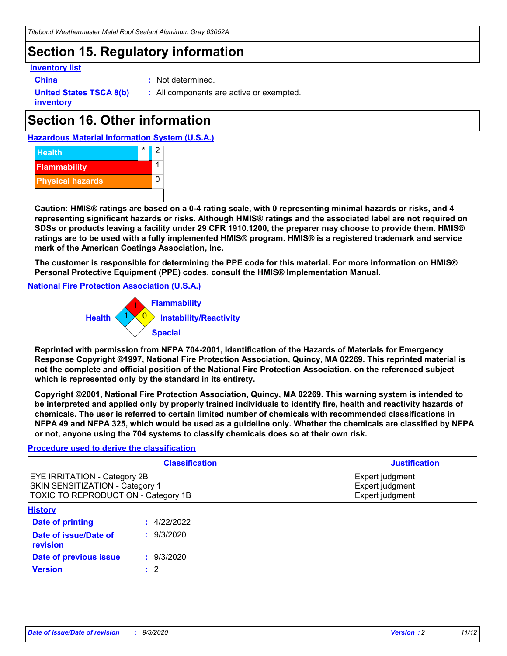### **Section 15. Regulatory information**

### **Inventory list**

- 
- **China :** Not determined.

**United States TSCA 8(b) inventory**

**:** All components are active or exempted.

## **Section 16. Other information**





**Caution: HMIS® ratings are based on a 0-4 rating scale, with 0 representing minimal hazards or risks, and 4 representing significant hazards or risks. Although HMIS® ratings and the associated label are not required on SDSs or products leaving a facility under 29 CFR 1910.1200, the preparer may choose to provide them. HMIS® ratings are to be used with a fully implemented HMIS® program. HMIS® is a registered trademark and service mark of the American Coatings Association, Inc.**

**The customer is responsible for determining the PPE code for this material. For more information on HMIS® Personal Protective Equipment (PPE) codes, consult the HMIS® Implementation Manual.**

**National Fire Protection Association (U.S.A.)**



**Reprinted with permission from NFPA 704-2001, Identification of the Hazards of Materials for Emergency Response Copyright ©1997, National Fire Protection Association, Quincy, MA 02269. This reprinted material is not the complete and official position of the National Fire Protection Association, on the referenced subject which is represented only by the standard in its entirety.**

**Copyright ©2001, National Fire Protection Association, Quincy, MA 02269. This warning system is intended to be interpreted and applied only by properly trained individuals to identify fire, health and reactivity hazards of chemicals. The user is referred to certain limited number of chemicals with recommended classifications in NFPA 49 and NFPA 325, which would be used as a guideline only. Whether the chemicals are classified by NFPA or not, anyone using the 704 systems to classify chemicals does so at their own risk.**

### **Procedure used to derive the classification**

| <b>Classification</b>                                                                                                | <b>Justification</b>                                  |
|----------------------------------------------------------------------------------------------------------------------|-------------------------------------------------------|
| <b>EYE IRRITATION - Category 2B</b><br><b>SKIN SENSITIZATION - Category 1</b><br>TOXIC TO REPRODUCTION - Category 1B | Expert judgment<br>Expert judgment<br>Expert judgment |
| <b>History</b>                                                                                                       |                                                       |

| .                                 |             |
|-----------------------------------|-------------|
| <b>Date of printing</b>           | : 4/22/2022 |
| Date of issue/Date of<br>revision | : 9/3/2020  |
| Date of previous issue            | : 9/3/2020  |
| <b>Version</b>                    | $\cdot$ 2   |
|                                   |             |